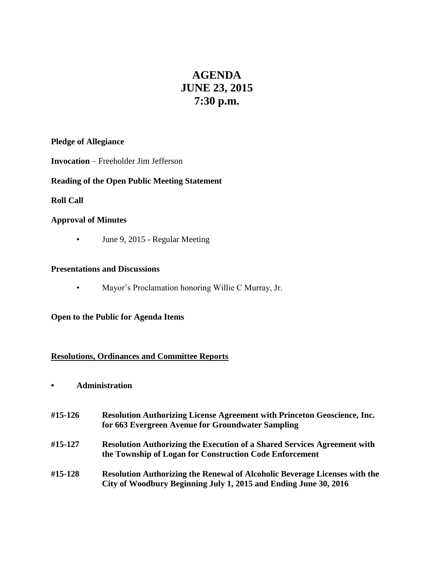# **AGENDA JUNE 23, 2015 7:30 p.m.**

## **Pledge of Allegiance**

## **Invocation** – Freeholder Jim Jefferson

## **Reading of the Open Public Meeting Statement**

## **Roll Call**

### **Approval of Minutes**

▪ June 9, 2015 - Regular Meeting

#### **Presentations and Discussions**

• Mayor's Proclamation honoring Willie C Murray, Jr.

#### **Open to the Public for Agenda Items**

#### **Resolutions, Ordinances and Committee Reports**

## **• Administration**

| #15-126 | Resolution Authorizing License Agreement with Princeton Geoscience, Inc.<br>for 663 Evergreen Avenue for Groundwater Sampling                         |
|---------|-------------------------------------------------------------------------------------------------------------------------------------------------------|
| #15-127 | <b>Resolution Authorizing the Execution of a Shared Services Agreement with</b><br>the Township of Logan for Construction Code Enforcement            |
| #15-128 | <b>Resolution Authorizing the Renewal of Alcoholic Beverage Licenses with the</b><br>City of Woodbury Beginning July 1, 2015 and Ending June 30, 2016 |